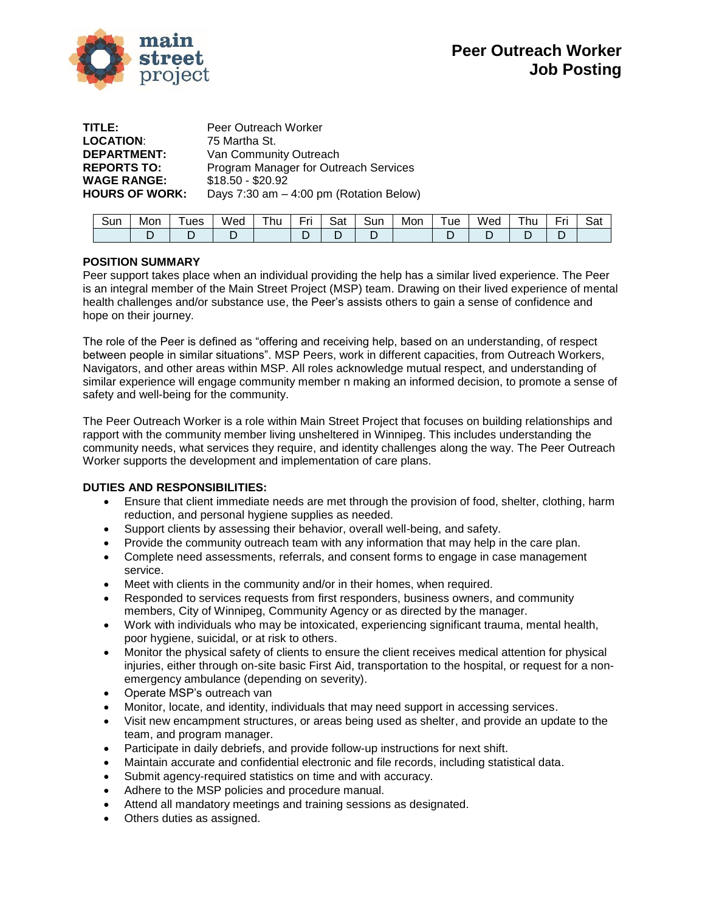

| Peer Outreach Worker                    |
|-----------------------------------------|
| 75 Martha St.                           |
| Van Community Outreach                  |
| Program Manager for Outreach Services   |
| $$18.50 - $20.92$                       |
| Days 7:30 am - 4:00 pm (Rotation Below) |
|                                         |

| -<br>Sur | Mon | ues | Wec | $-1$<br>hu | $\overline{\phantom{0}}$<br>- | -<br>Sat | -<br>sur | Mon | _<br>ue | . .<br>Wed | hı | -<br>$-$ | - ≏<br>Jdl |
|----------|-----|-----|-----|------------|-------------------------------|----------|----------|-----|---------|------------|----|----------|------------|
|          |     | -   |     |            |                               |          | -        |     |         |            |    |          |            |

# **POSITION SUMMARY**

Peer support takes place when an individual providing the help has a similar lived experience. The Peer is an integral member of the Main Street Project (MSP) team. Drawing on their lived experience of mental health challenges and/or substance use, the Peer's assists others to gain a sense of confidence and hope on their journey.

The role of the Peer is defined as "offering and receiving help, based on an understanding, of respect between people in similar situations". MSP Peers, work in different capacities, from Outreach Workers, Navigators, and other areas within MSP. All roles acknowledge mutual respect, and understanding of similar experience will engage community member n making an informed decision, to promote a sense of safety and well-being for the community.

The Peer Outreach Worker is a role within Main Street Project that focuses on building relationships and rapport with the community member living unsheltered in Winnipeg. This includes understanding the community needs, what services they require, and identity challenges along the way. The Peer Outreach Worker supports the development and implementation of care plans.

# **DUTIES AND RESPONSIBILITIES:**

- Ensure that client immediate needs are met through the provision of food, shelter, clothing, harm reduction, and personal hygiene supplies as needed.
- Support clients by assessing their behavior, overall well-being, and safety.
- Provide the community outreach team with any information that may help in the care plan.
- Complete need assessments, referrals, and consent forms to engage in case management service.
- Meet with clients in the community and/or in their homes, when required.
- Responded to services requests from first responders, business owners, and community members, City of Winnipeg, Community Agency or as directed by the manager.
- Work with individuals who may be intoxicated, experiencing significant trauma, mental health, poor hygiene, suicidal, or at risk to others.
- Monitor the physical safety of clients to ensure the client receives medical attention for physical injuries, either through on-site basic First Aid, transportation to the hospital, or request for a nonemergency ambulance (depending on severity).
- Operate MSP's outreach van
- Monitor, locate, and identity, individuals that may need support in accessing services.
- Visit new encampment structures, or areas being used as shelter, and provide an update to the team, and program manager.
- Participate in daily debriefs, and provide follow-up instructions for next shift.
- Maintain accurate and confidential electronic and file records, including statistical data.
- Submit agency-required statistics on time and with accuracy.
- Adhere to the MSP policies and procedure manual.
- Attend all mandatory meetings and training sessions as designated.
- Others duties as assigned.